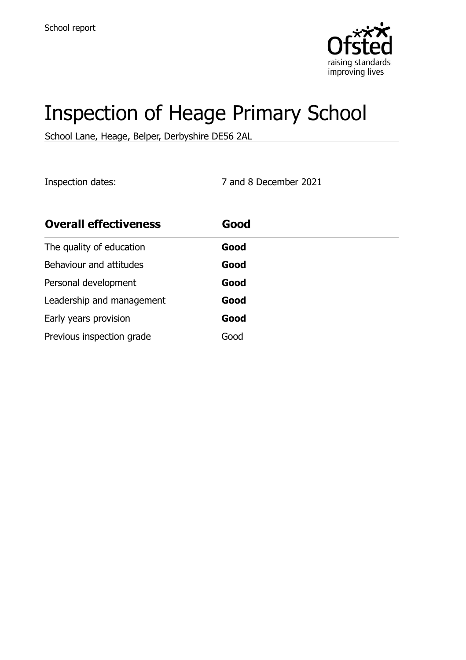

# Inspection of Heage Primary School

School Lane, Heage, Belper, Derbyshire DE56 2AL

Inspection dates: 7 and 8 December 2021

| <b>Overall effectiveness</b> | Good |
|------------------------------|------|
| The quality of education     | Good |
| Behaviour and attitudes      | Good |
| Personal development         | Good |
| Leadership and management    | Good |
| Early years provision        | Good |
| Previous inspection grade    | Good |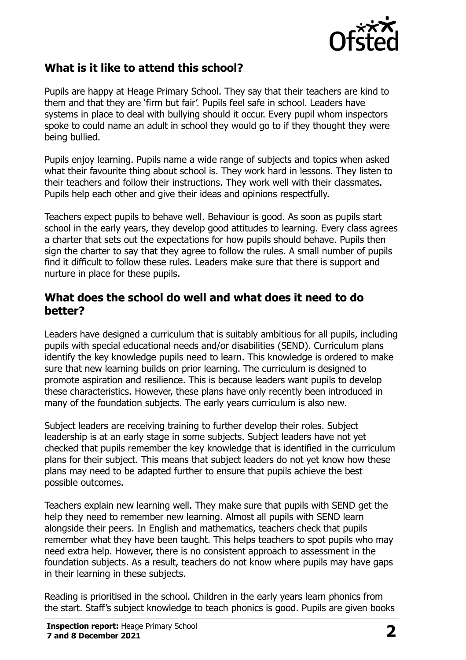

# **What is it like to attend this school?**

Pupils are happy at Heage Primary School. They say that their teachers are kind to them and that they are 'firm but fair'. Pupils feel safe in school. Leaders have systems in place to deal with bullying should it occur. Every pupil whom inspectors spoke to could name an adult in school they would go to if they thought they were being bullied.

Pupils enjoy learning. Pupils name a wide range of subjects and topics when asked what their favourite thing about school is. They work hard in lessons. They listen to their teachers and follow their instructions. They work well with their classmates. Pupils help each other and give their ideas and opinions respectfully.

Teachers expect pupils to behave well. Behaviour is good. As soon as pupils start school in the early years, they develop good attitudes to learning. Every class agrees a charter that sets out the expectations for how pupils should behave. Pupils then sign the charter to say that they agree to follow the rules. A small number of pupils find it difficult to follow these rules. Leaders make sure that there is support and nurture in place for these pupils.

#### **What does the school do well and what does it need to do better?**

Leaders have designed a curriculum that is suitably ambitious for all pupils, including pupils with special educational needs and/or disabilities (SEND). Curriculum plans identify the key knowledge pupils need to learn. This knowledge is ordered to make sure that new learning builds on prior learning. The curriculum is designed to promote aspiration and resilience. This is because leaders want pupils to develop these characteristics. However, these plans have only recently been introduced in many of the foundation subjects. The early years curriculum is also new.

Subject leaders are receiving training to further develop their roles. Subject leadership is at an early stage in some subjects. Subject leaders have not yet checked that pupils remember the key knowledge that is identified in the curriculum plans for their subject. This means that subject leaders do not yet know how these plans may need to be adapted further to ensure that pupils achieve the best possible outcomes.

Teachers explain new learning well. They make sure that pupils with SEND get the help they need to remember new learning. Almost all pupils with SEND learn alongside their peers. In English and mathematics, teachers check that pupils remember what they have been taught. This helps teachers to spot pupils who may need extra help. However, there is no consistent approach to assessment in the foundation subjects. As a result, teachers do not know where pupils may have gaps in their learning in these subjects.

Reading is prioritised in the school. Children in the early years learn phonics from the start. Staff's subject knowledge to teach phonics is good. Pupils are given books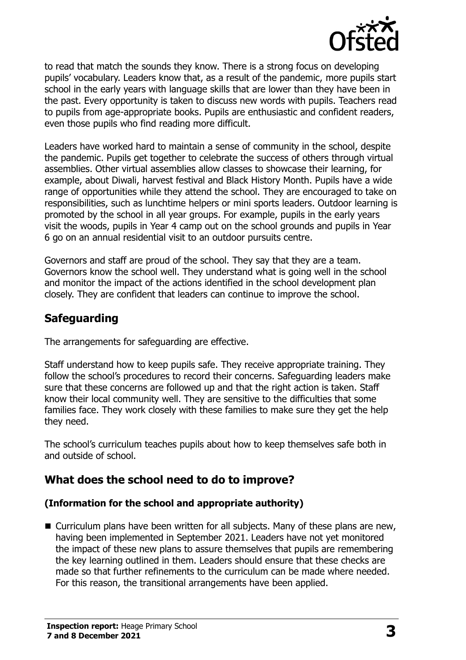

to read that match the sounds they know. There is a strong focus on developing pupils' vocabulary. Leaders know that, as a result of the pandemic, more pupils start school in the early years with language skills that are lower than they have been in the past. Every opportunity is taken to discuss new words with pupils. Teachers read to pupils from age-appropriate books. Pupils are enthusiastic and confident readers, even those pupils who find reading more difficult.

Leaders have worked hard to maintain a sense of community in the school, despite the pandemic. Pupils get together to celebrate the success of others through virtual assemblies. Other virtual assemblies allow classes to showcase their learning, for example, about Diwali, harvest festival and Black History Month. Pupils have a wide range of opportunities while they attend the school. They are encouraged to take on responsibilities, such as lunchtime helpers or mini sports leaders. Outdoor learning is promoted by the school in all year groups. For example, pupils in the early years visit the woods, pupils in Year 4 camp out on the school grounds and pupils in Year 6 go on an annual residential visit to an outdoor pursuits centre.

Governors and staff are proud of the school. They say that they are a team. Governors know the school well. They understand what is going well in the school and monitor the impact of the actions identified in the school development plan closely. They are confident that leaders can continue to improve the school.

# **Safeguarding**

The arrangements for safeguarding are effective.

Staff understand how to keep pupils safe. They receive appropriate training. They follow the school's procedures to record their concerns. Safeguarding leaders make sure that these concerns are followed up and that the right action is taken. Staff know their local community well. They are sensitive to the difficulties that some families face. They work closely with these families to make sure they get the help they need.

The school's curriculum teaches pupils about how to keep themselves safe both in and outside of school.

# **What does the school need to do to improve?**

#### **(Information for the school and appropriate authority)**

■ Curriculum plans have been written for all subjects. Many of these plans are new, having been implemented in September 2021. Leaders have not yet monitored the impact of these new plans to assure themselves that pupils are remembering the key learning outlined in them. Leaders should ensure that these checks are made so that further refinements to the curriculum can be made where needed. For this reason, the transitional arrangements have been applied.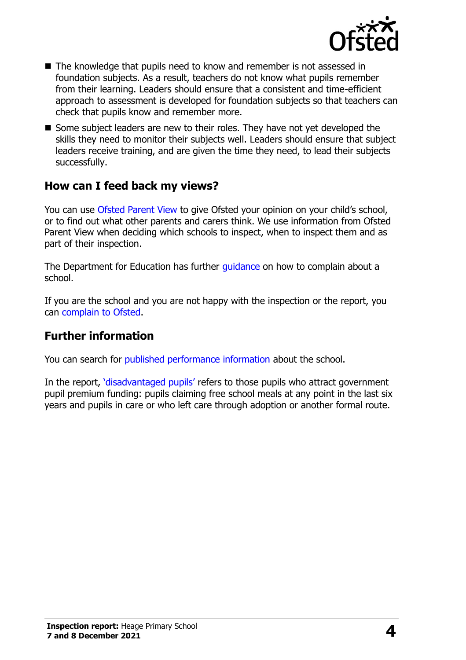

- $\blacksquare$  The knowledge that pupils need to know and remember is not assessed in foundation subjects. As a result, teachers do not know what pupils remember from their learning. Leaders should ensure that a consistent and time-efficient approach to assessment is developed for foundation subjects so that teachers can check that pupils know and remember more.
- Some subject leaders are new to their roles. They have not yet developed the skills they need to monitor their subjects well. Leaders should ensure that subject leaders receive training, and are given the time they need, to lead their subjects successfully.

### **How can I feed back my views?**

You can use [Ofsted Parent View](http://parentview.ofsted.gov.uk/) to give Ofsted your opinion on your child's school, or to find out what other parents and carers think. We use information from Ofsted Parent View when deciding which schools to inspect, when to inspect them and as part of their inspection.

The Department for Education has further quidance on how to complain about a school.

If you are the school and you are not happy with the inspection or the report, you can [complain to Ofsted.](http://www.gov.uk/complain-ofsted-report)

# **Further information**

You can search for [published performance information](http://www.compare-school-performance.service.gov.uk/) about the school.

In the report, '[disadvantaged pupils](http://www.gov.uk/guidance/pupil-premium-information-for-schools-and-alternative-provision-settings)' refers to those pupils who attract government pupil premium funding: pupils claiming free school meals at any point in the last six years and pupils in care or who left care through adoption or another formal route.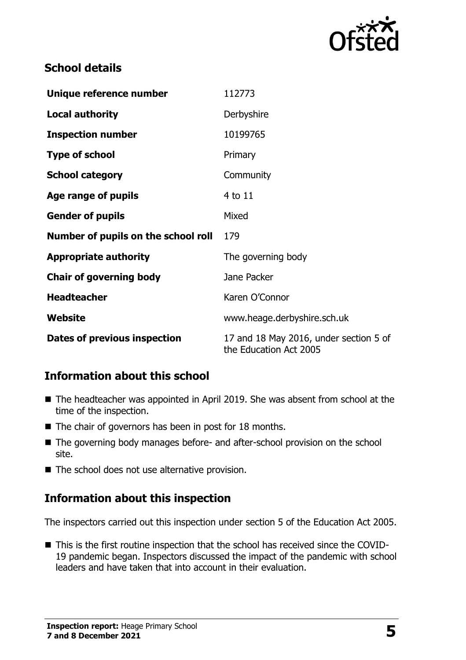

# **School details**

| Unique reference number             | 112773                                                           |
|-------------------------------------|------------------------------------------------------------------|
| <b>Local authority</b>              | Derbyshire                                                       |
| <b>Inspection number</b>            | 10199765                                                         |
| <b>Type of school</b>               | Primary                                                          |
| <b>School category</b>              | Community                                                        |
| Age range of pupils                 | 4 to 11                                                          |
| <b>Gender of pupils</b>             | Mixed                                                            |
| Number of pupils on the school roll | 179                                                              |
| <b>Appropriate authority</b>        | The governing body                                               |
| <b>Chair of governing body</b>      | Jane Packer                                                      |
| <b>Headteacher</b>                  | Karen O'Connor                                                   |
| Website                             | www.heage.derbyshire.sch.uk                                      |
| Dates of previous inspection        | 17 and 18 May 2016, under section 5 of<br>the Education Act 2005 |

# **Information about this school**

- The headteacher was appointed in April 2019. She was absent from school at the time of the inspection.
- $\blacksquare$  The chair of governors has been in post for 18 months.
- The governing body manages before- and after-school provision on the school site.
- The school does not use alternative provision.

### **Information about this inspection**

The inspectors carried out this inspection under section 5 of the Education Act 2005.

■ This is the first routine inspection that the school has received since the COVID-19 pandemic began. Inspectors discussed the impact of the pandemic with school leaders and have taken that into account in their evaluation.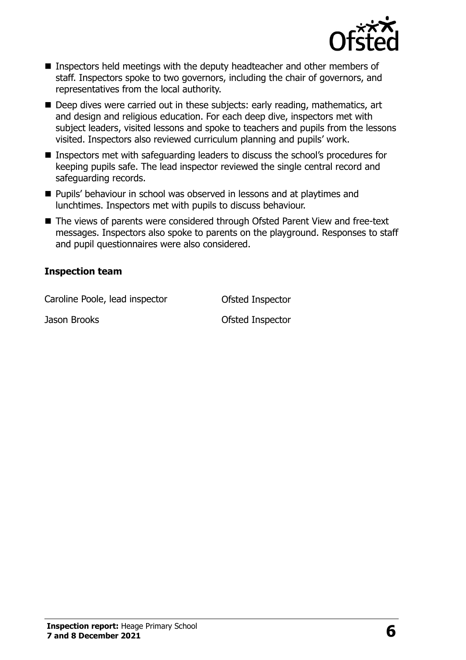

- Inspectors held meetings with the deputy headteacher and other members of staff. Inspectors spoke to two governors, including the chair of governors, and representatives from the local authority.
- Deep dives were carried out in these subjects: early reading, mathematics, art and design and religious education. For each deep dive, inspectors met with subject leaders, visited lessons and spoke to teachers and pupils from the lessons visited. Inspectors also reviewed curriculum planning and pupils' work.
- Inspectors met with safeguarding leaders to discuss the school's procedures for keeping pupils safe. The lead inspector reviewed the single central record and safeguarding records.
- **Pupils' behaviour in school was observed in lessons and at playtimes and** lunchtimes. Inspectors met with pupils to discuss behaviour.
- The views of parents were considered through Ofsted Parent View and free-text messages. Inspectors also spoke to parents on the playground. Responses to staff and pupil questionnaires were also considered.

#### **Inspection team**

Caroline Poole, lead inspector **Caroline Poole**, lead inspector

Jason Brooks **Districts** Ofsted Inspector